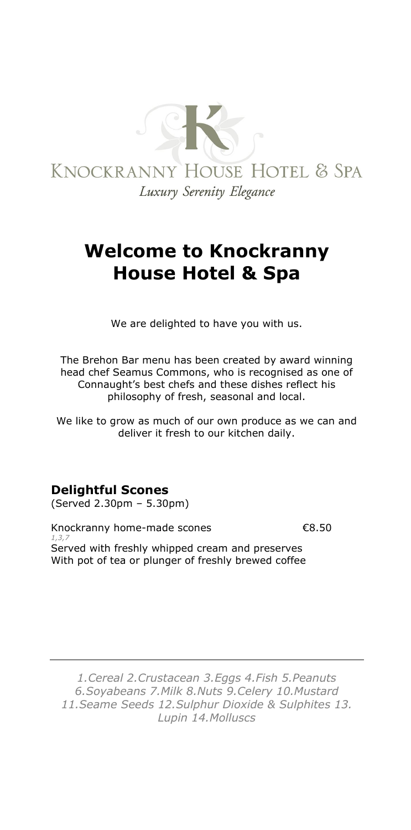

# **Welcome to Knockranny House Hotel & Spa**

We are delighted to have you with us.

The Brehon Bar menu has been created by award winning head chef Seamus Commons, who is recognised as one of Connaught's best chefs and these dishes reflect his philosophy of fresh, seasonal and local.

We like to grow as much of our own produce as we can and deliver it fresh to our kitchen daily.

### **Delightful Scones**

(Served 2.30pm – 5.30pm)

Knockranny home-made scones €8.50 *1,3,7* Served with freshly whipped cream and preserves With pot of tea or plunger of freshly brewed coffee

*1.Cereal 2.Crustacean 3.Eggs 4.Fish 5.Peanuts 6.Soyabeans 7.Milk 8.Nuts 9.Celery 10.Mustard 11.Seame Seeds 12.Sulphur Dioxide & Sulphites 13. Lupin 14.Molluscs*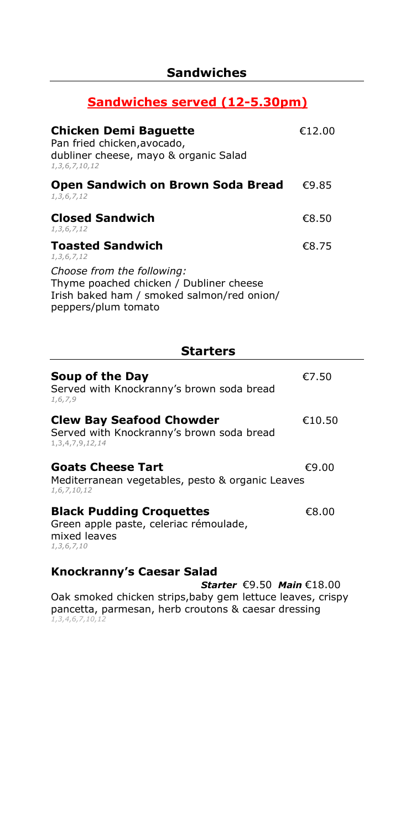### **Sandwiches served (12-5.30pm)**

| <b>Chicken Demi Baguette</b><br>Pan fried chicken, avocado,<br>dubliner cheese, mayo & organic Salad<br>1, 3, 6, 7, 10, 12                 | €12.00 |
|--------------------------------------------------------------------------------------------------------------------------------------------|--------|
| <b>Open Sandwich on Brown Soda Bread</b><br>1, 3, 6, 7, 12                                                                                 | €9.85  |
| <b>Closed Sandwich</b><br>1, 3, 6, 7, 12                                                                                                   | €8.50  |
| <b>Toasted Sandwich</b><br>1, 3, 6, 7, 12                                                                                                  | €8.75  |
| Choose from the following:<br>Thyme poached chicken / Dubliner cheese<br>Irish baked ham / smoked salmon/red onion/<br>peppers/plum tomato |        |

**Starters**

| Soup of the Day<br>Served with Knockranny's brown soda bread<br>1,6,7,9                                     |                                               | €7.50  |
|-------------------------------------------------------------------------------------------------------------|-----------------------------------------------|--------|
| <b>Clew Bay Seafood Chowder</b><br>Served with Knockranny's brown soda bread<br>1, 3, 4, 7, 9, 12, 14       |                                               | €10.50 |
| <b>Goats Cheese Tart</b><br>Mediterranean vegetables, pesto & organic Leaves<br>1,6,7,10,12                 |                                               | €9.00  |
| <b>Black Pudding Croquettes</b><br>Green apple paste, celeriac rémoulade,<br>mixed leaves<br>1, 3, 6, 7, 10 |                                               | €8.00  |
| <b>Knockranny's Caesar Salad</b>                                                                            | Starter $\epsilon$ 9.50 Main $\epsilon$ 18.00 |        |

Oak smoked chicken strips,baby gem lettuce leaves, crispy pancetta, parmesan, herb croutons & caesar dressing *1,3,4,6,7,10,12*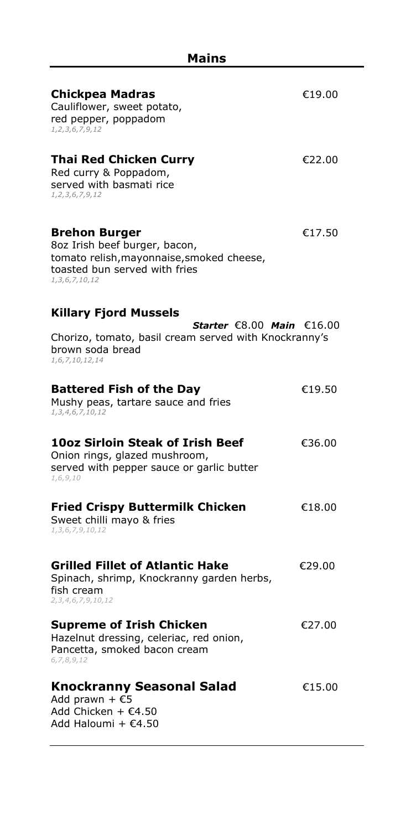| Chickpea Madras<br>Cauliflower, sweet potato,<br>red pepper, poppadom<br>1, 2, 3, 6, 7, 9, 12                                                             | €19.00 |
|-----------------------------------------------------------------------------------------------------------------------------------------------------------|--------|
| Thai Red Chicken Curry<br>Red curry & Poppadom,<br>served with basmati rice<br>1, 2, 3, 6, 7, 9, 12                                                       | €22.00 |
| <b>Brehon Burger</b><br>8oz Irish beef burger, bacon,<br>tomato relish, mayonnaise, smoked cheese,<br>toasted bun served with fries<br>1, 3, 6, 7, 10, 12 | €17.50 |
| <b>Killary Fjord Mussels</b>                                                                                                                              |        |
| Starter $\epsilon$ 8.00 Main $\epsilon$ 16.00<br>Chorizo, tomato, basil cream served with Knockranny's<br>brown soda bread<br>1,6,7,10,12,14              |        |
| <b>Battered Fish of the Day</b><br>Mushy peas, tartare sauce and fries<br>1, 3, 4, 6, 7, 10, 12                                                           | €19.50 |
| 10oz Sirloin Steak of Irish Beef<br>Onion rings, glazed mushroom,<br>served with pepper sauce or garlic butter<br>1,6,9,10                                | €36.00 |
| <b>Fried Crispy Buttermilk Chicken</b><br>Sweet chilli mayo & fries<br>1,3,6,7,9,10,12                                                                    | €18.00 |
| <b>Grilled Fillet of Atlantic Hake</b><br>Spinach, shrimp, Knockranny garden herbs,<br>fish cream<br>2, 3, 4, 6, 7, 9, 10, 12                             | €29.00 |
| <b>Supreme of Irish Chicken</b><br>Hazelnut dressing, celeriac, red onion,<br>Pancetta, smoked bacon cream<br>6,7,8,9,12                                  | €27.00 |
| Knockranny Seasonal Salad<br>Add prawn + $£5$<br>Add Chicken + €4.50<br>Add Haloumi + €4.50                                                               | €15.00 |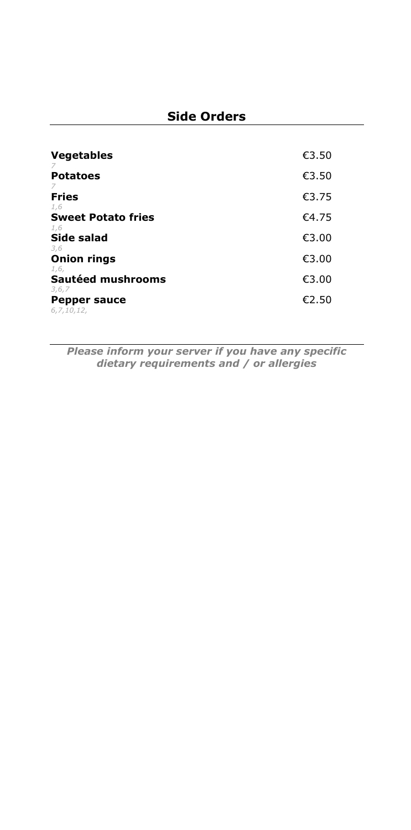| <b>Vegetables</b>                               | €3.50 |
|-------------------------------------------------|-------|
| <b>Potatoes</b>                                 | €3.50 |
| <b>Fries</b>                                    | €3.75 |
| 1,6<br><b>Sweet Potato fries</b>                | €4.75 |
| 1,6<br><b>Side salad</b>                        | €3.00 |
| 3,6<br><b>Onion rings</b>                       | €3.00 |
| 1,6,<br>Sautéed mushrooms                       | €3.00 |
| 3, 6, 7<br><b>Pepper sauce</b><br>6, 7, 10, 12, | €2.50 |

*Please inform your server if you have any specific dietary requirements and / or allergies*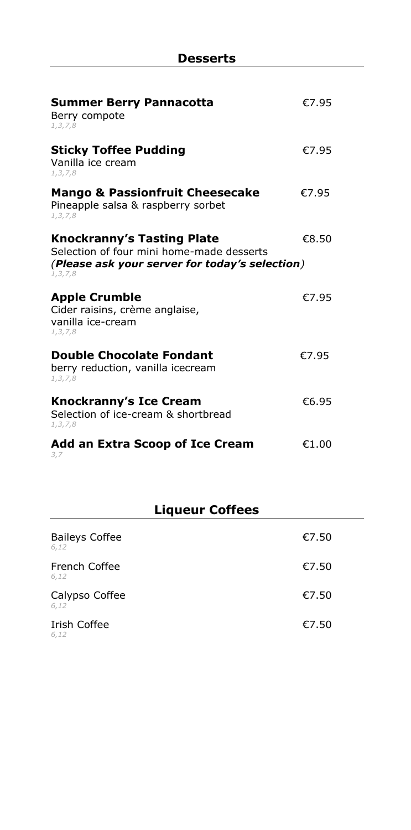| <b>Summer Berry Pannacotta</b><br>Berry compote<br>1, 3, 7, 8                                                                                  | €7.95 |
|------------------------------------------------------------------------------------------------------------------------------------------------|-------|
| <b>Sticky Toffee Pudding</b><br>Vanilla ice cream<br>1, 3, 7, 8                                                                                | €7.95 |
| <b>Mango &amp; Passionfruit Cheesecake</b><br>Pineapple salsa & raspberry sorbet<br>1, 3, 7, 8                                                 | €7.95 |
| <b>Knockranny's Tasting Plate</b><br>Selection of four mini home-made desserts<br>(Please ask your server for today's selection)<br>1, 3, 7, 8 | €8.50 |
| <b>Apple Crumble</b><br>Cider raisins, crème anglaise,<br>vanilla ice-cream<br>1, 3, 7, 8                                                      | €7.95 |
| <b>Double Chocolate Fondant</b><br>berry reduction, vanilla icecream<br>1, 3, 7, 8                                                             | €7.95 |
| <b>Knockranny's Ice Cream</b><br>Selection of ice-cream & shortbread<br>1, 3, 7, 8                                                             | €6.95 |
| Add an Extra Scoop of Ice Cream<br>3,7                                                                                                         | €1.00 |

# **Liqueur Coffees**

| <b>Baileys Coffee</b><br>6,12 | €7.50 |
|-------------------------------|-------|
| French Coffee<br>6,12         | €7.50 |
| Calypso Coffee<br>6,12        | €7.50 |
| Irish Coffee<br>6,12          | €7.50 |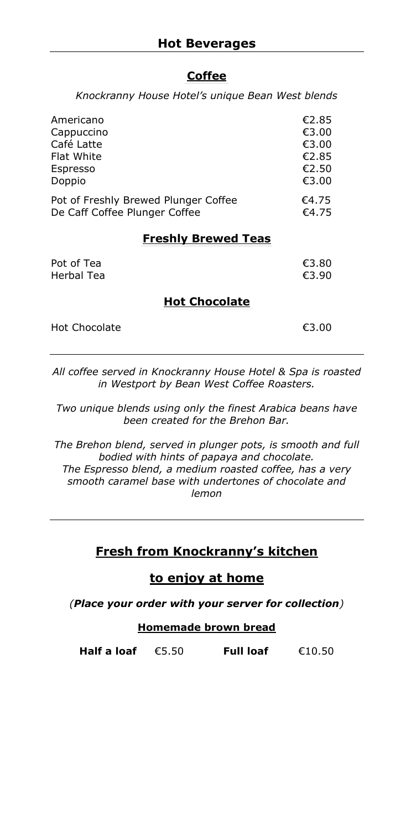#### **\_\_\_\_\_\_\_\_\_\_\_\_\_\_\_\_\_\_\_\_\_\_\_\_\_\_\_\_\_\_\_\_\_\_\_\_\_\_\_\_\_\_\_\_\_\_\_\_\_\_\_\_\_\_\_\_\_\_\_\_\_\_ Coffee**

*Knockranny House Hotel's unique Bean West blends*

| Americano                            | €2.85 |
|--------------------------------------|-------|
| Cappuccino                           | €3.00 |
| Café Latte                           | €3.00 |
| Flat White                           | €2.85 |
| Espresso                             | €2.50 |
| Doppio                               | €3.00 |
| Pot of Freshly Brewed Plunger Coffee | €4.75 |
| De Caff Coffee Plunger Coffee        | €4.75 |

#### **Freshly Brewed Teas**

| Pot of Tea | €3.80 |
|------------|-------|
| Herbal Tea | €3.90 |
|            |       |

#### \_\_\_\_\_\_\_\_\_\_\_\_\_\_\_\_\_\_\_\_\_\_\_\_\_\_\_\_\_\_\_\_\_\_\_\_\_\_\_\_\_\_\_\_\_\_\_\_\_\_\_\_\_\_\_\_\_\_\_\_\_\_\_\_\_\_\_\_\_\_\_\_\_\_\_\_\_\_\_\_\_\_\_\_\_\_\_\_\_\_\_\_\_\_\_\_\_\_\_\_\_\_\_\_\_\_\_\_\_\_\_\_\_\_\_\_\_\_\_\_\_\_\_\_\_ **Hot Chocolate**\_\_\_\_\_\_\_\_\_\_\_\_\_\_\_\_\_\_\_\_\_

| Hot Chocolate | €3.00 |
|---------------|-------|
|               |       |

*All coffee served in Knockranny House Hotel & Spa is roasted in Westport by Bean West Coffee Roasters.*

*Two unique blends using only the finest Arabica beans have been created for the Brehon Bar.*

*The Brehon blend, served in plunger pots, is smooth and full bodied with hints of papaya and chocolate. The Espresso blend, a medium roasted coffee, has a very smooth caramel base with undertones of chocolate and lemon*

#### **Fresh from Knockranny's kitchen**

#### **to enjoy at home**

*(Place your order with your server for collection)*

#### **Homemade brown bread**

**Half a loaf** €5.50 **Full loaf** €10.50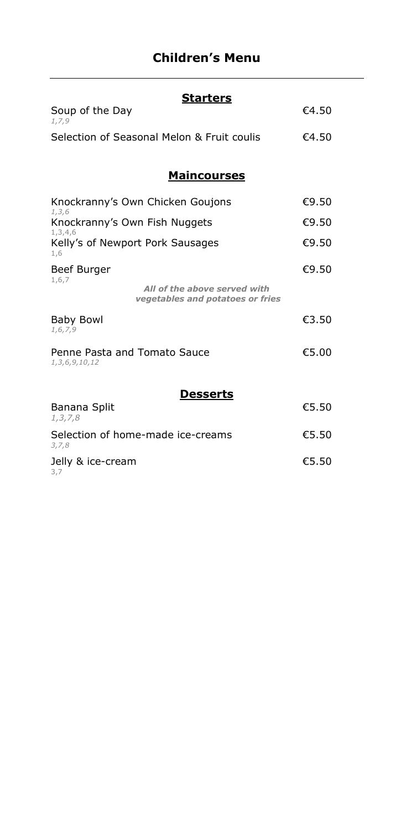# **Children's Menu**

| <b>Starters</b>                                                           |       |
|---------------------------------------------------------------------------|-------|
| Soup of the Day<br>1,7,9                                                  | €4.50 |
| Selection of Seasonal Melon & Fruit coulis                                | €4.50 |
|                                                                           |       |
| <b>Maincourses</b>                                                        |       |
| Knockranny's Own Chicken Goujons<br>1, 3, 6                               | €9.50 |
| Knockranny's Own Fish Nuggets                                             | €9.50 |
| 1, 3, 4, 6<br>Kelly's of Newport Pork Sausages<br>1,6                     | €9.50 |
| Beef Burger                                                               | €9.50 |
| 1,6,7<br>All of the above served with<br>vegetables and potatoes or fries |       |
| <b>Baby Bowl</b><br>1, 6, 7, 9                                            | €3.50 |
| Penne Pasta and Tomato Sauce<br>1, 3, 6, 9, 10, 12                        | €5.00 |
|                                                                           |       |
| <b>Desserts</b>                                                           |       |
| Banana Split<br>1, 3, 7, 8                                                | €5.50 |
| Selection of home-made ice-creams<br>3, 7, 8                              | €5.50 |
| Jelly & ice-cream<br>3,7                                                  | €5.50 |